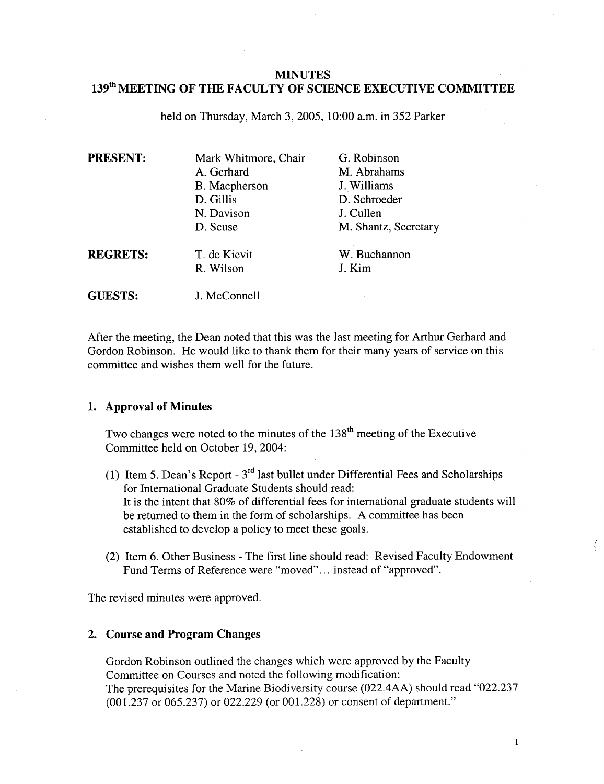# **MINUTES 1391h MEETING OF THE FACULTY OF SCIENCE EXECUTIVE COMMITTEE**

held on Thursday, March 3, 2005, 10:00 a.m. in *352* Parker

| <b>PRESENT:</b> | Mark Whitmore, Chair<br>A. Gerhard<br>B. Macpherson<br>D. Gillis<br>N. Davison<br>D. Scuse | G. Robinson<br>M. Abrahams<br>J. Williams<br>D. Schroeder<br>J. Cullen<br>M. Shantz, Secretary |
|-----------------|--------------------------------------------------------------------------------------------|------------------------------------------------------------------------------------------------|
| <b>REGRETS:</b> | T. de Kievit<br>R. Wilson                                                                  | W. Buchannon<br>J. Kim                                                                         |
| <b>GUESTS:</b>  | J. McConnell                                                                               |                                                                                                |

After the meeting, the Dean noted that this was the last meeting for Arthur Gerhard and Gordon Robinson. He would like to thank them for their many years of service on this committee and wishes them well for the future.

#### **1. Approval of Minutes**

Two changes were noted to the minutes of the  $138<sup>th</sup>$  meeting of the Executive Committee held on October 19, 2004:

- (1) Item 5. Dean's Report  $3<sup>rd</sup>$  last bullet under Differential Fees and Scholarships for International Graduate Students should read: It is the intent that 80% of differential fees for international graduate students will be returned to them in the form of scholarships. A committee has been established to develop a policy to meet these goals.
- (2) Item 6. Other Business The first line should read: Revised Faculty Endowment Fund Terms of Reference were "moved".., instead of "approved".

The revised minutes were approved.

### 2. **Course and Program Changes**

Gordon Robinson outlined the changes which were approved by the Faculty Committee on Courses and noted the following modification: The prerequisites for the Marine Biodiversity course (022.4AA) should read "022.237 (001.237 or *065.237)* or 022.229 (or 001 .228) or consent of department."

 $\mathbf{l}$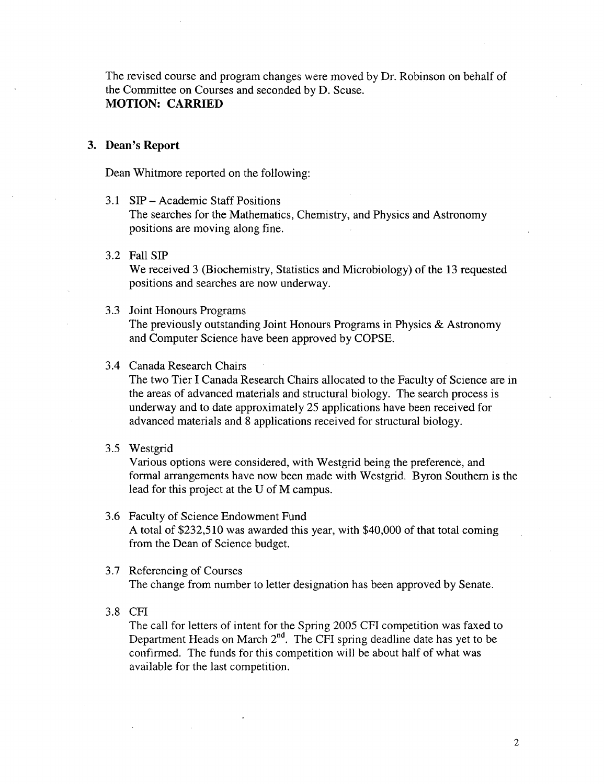The revised course and program changes were moved by Dr. Robinson on behalf of the Committee on Courses and seconded by D. Scuse. **MOTION: CARRIED** 

#### **3. Dean's Report**

Dean Whitmore reported on the following:

- 3.1 SIP Academic Staff Positions The searches for the Mathematics, Chemistry, and Physics and Astronomy positions are moving along fine.
- 3.2 Fa11S1P

We received 3 (Biochemistry, Statistics and Microbiology) of the 13 requested positions and searches are now underway.

3.3 Joint Honours Programs

The previously outstanding Joint Honours Programs in Physics & Astronomy and Computer Science have been approved by COPSE.

3.4 Canada Research Chairs

The two Tier I Canada Research Chairs allocated to the Faculty of Science are in the areas of advanced materials and structural biology. The search process is underway and to date approximately 25 applications have been received for advanced materials and 8 applications received for structural biology.

3.5 Westgrid

Various options were considered, with Westgrid being the preference, and formal arrangements have now been made with Westgrid. Byron Southern is the lead for this project at the U of M campus.

- 3.6 Faculty of Science Endowment Fund A total of \$232,510 was awarded this year, with \$40,000 of that total coming from the Dean of Science budget.
- 3.7 Referencing of Courses The change from number to letter designation has been approved by Senate.
- 3.8 CFI

The call for letters of intent for the Spring 2005 CFI competition was faxed to Department Heads on March  $2<sup>nd</sup>$ . The CFI spring deadline date has yet to be confirmed. The funds for this competition will be about half of what was available for the last competition.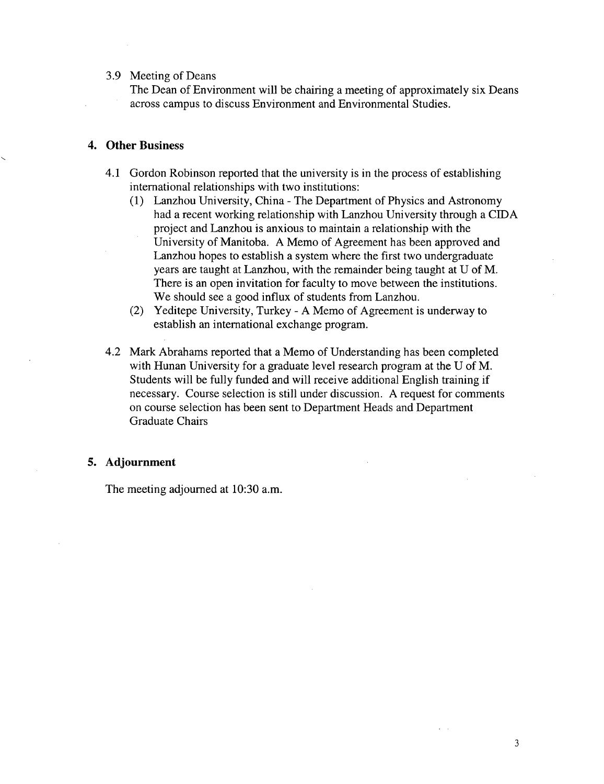#### 3.9 Meeting of Deans

The Dean of Environment will be chairing a meeting of approximately six Deans across campus to discuss Environment and Environmental Studies.

### **4. Other Business**

- 4.1 Gordon Robinson reported that the university is in the process of establishing international relationships with two institutions:
	- Lanzhou University, China The Department of Physics and Astronomy had a recent working relationship with Lanzhou University through a CIDA project and Lanzhou is anxious to maintain a relationship with the University of Manitoba. A Memo of Agreement has been approved and Lanzhou hopes to establish a system where the first two undergraduate years are taught at Lanzhou, with the remainder being taught at U of M. There is an open invitation for faculty to move between the institutions. We should see a good influx of students from Lanzhou.
	- Yeditepe University, Turkey A Memo of Agreement is underway to establish an international exchange program.
- 4.2 Mark Abrahams reported that a Memo of Understanding has been completed with Hunan University for a graduate level research program at the U of M. Students will be fully funded and will receive additional English training if necessary. Course selection is still under discussion. A request for comments on course selection has been sent to Department Heads and Department Graduate Chairs

### *5.* **Adjournment**

The meeting adjourned at 10:30 a.m.